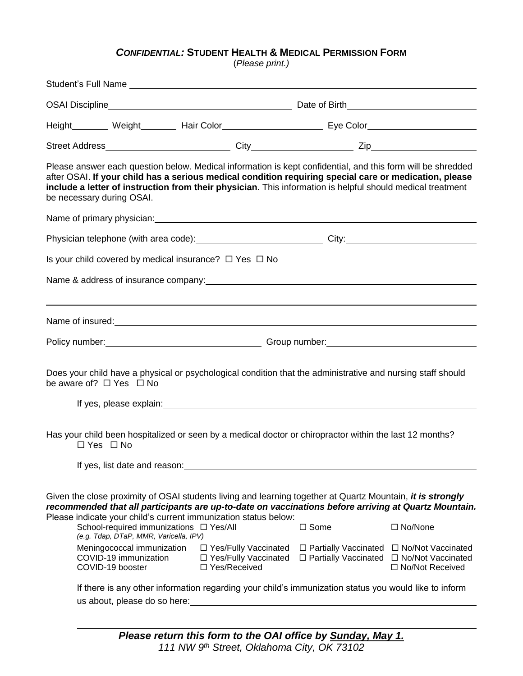## *CONFIDENTIAL:* **STUDENT HEALTH & MEDICAL PERMISSION FORM**

(*Please print.)*

| be necessary during OSAI.                                               |                                                                                   |                                                                    |                                                            | Please answer each question below. Medical information is kept confidential, and this form will be shredded<br>after OSAI. If your child has a serious medical condition requiring special care or medication, please<br>include a letter of instruction from their physician. This information is helpful should medical treatment |  |  |
|-------------------------------------------------------------------------|-----------------------------------------------------------------------------------|--------------------------------------------------------------------|------------------------------------------------------------|-------------------------------------------------------------------------------------------------------------------------------------------------------------------------------------------------------------------------------------------------------------------------------------------------------------------------------------|--|--|
| Name of primary physician: example and a state of primary physician:    |                                                                                   |                                                                    |                                                            |                                                                                                                                                                                                                                                                                                                                     |  |  |
|                                                                         |                                                                                   |                                                                    |                                                            | Physician telephone (with area code): _________________________________City: _________________________________                                                                                                                                                                                                                      |  |  |
| Is your child covered by medical insurance? $\Box$ Yes $\Box$ No        |                                                                                   |                                                                    |                                                            |                                                                                                                                                                                                                                                                                                                                     |  |  |
|                                                                         |                                                                                   |                                                                    |                                                            |                                                                                                                                                                                                                                                                                                                                     |  |  |
|                                                                         |                                                                                   |                                                                    |                                                            |                                                                                                                                                                                                                                                                                                                                     |  |  |
| Name of insured: Name of insured:                                       |                                                                                   |                                                                    |                                                            |                                                                                                                                                                                                                                                                                                                                     |  |  |
|                                                                         |                                                                                   |                                                                    |                                                            |                                                                                                                                                                                                                                                                                                                                     |  |  |
| be aware of? $\Box$ Yes $\Box$ No                                       |                                                                                   |                                                                    |                                                            | Does your child have a physical or psychological condition that the administrative and nursing staff should                                                                                                                                                                                                                         |  |  |
| $\Box$ Yes $\Box$ No<br>If yes, list date and reason:                   |                                                                                   |                                                                    |                                                            | Has your child been hospitalized or seen by a medical doctor or chiropractor within the last 12 months?                                                                                                                                                                                                                             |  |  |
|                                                                         |                                                                                   |                                                                    |                                                            |                                                                                                                                                                                                                                                                                                                                     |  |  |
| Please indicate your child's current immunization status below:         |                                                                                   |                                                                    |                                                            | Given the close proximity of OSAI students living and learning together at Quartz Mountain, it is strongly<br>recommended that all participants are up-to-date on vaccinations before arriving at Quartz Mountain.                                                                                                                  |  |  |
|                                                                         | School-required immunizations □ Yes/All<br>(e.g. Tdap, DTaP, MMR, Varicella, IPV) |                                                                    | $\Box$ Some                                                | □ No/None                                                                                                                                                                                                                                                                                                                           |  |  |
| Meningococcal immunization<br>COVID-19 immunization<br>COVID-19 booster |                                                                                   | □ Yes/Fully Vaccinated<br>□ Yes/Fully Vaccinated<br>□ Yes/Received | $\Box$ Partially Vaccinated<br>$\Box$ Partially Vaccinated | □ No/Not Vaccinated<br>□ No/Not Vaccinated<br>$\Box$ No/Not Received                                                                                                                                                                                                                                                                |  |  |
| us about, please do so here:                                            |                                                                                   |                                                                    |                                                            | If there is any other information regarding your child's immunization status you would like to inform                                                                                                                                                                                                                               |  |  |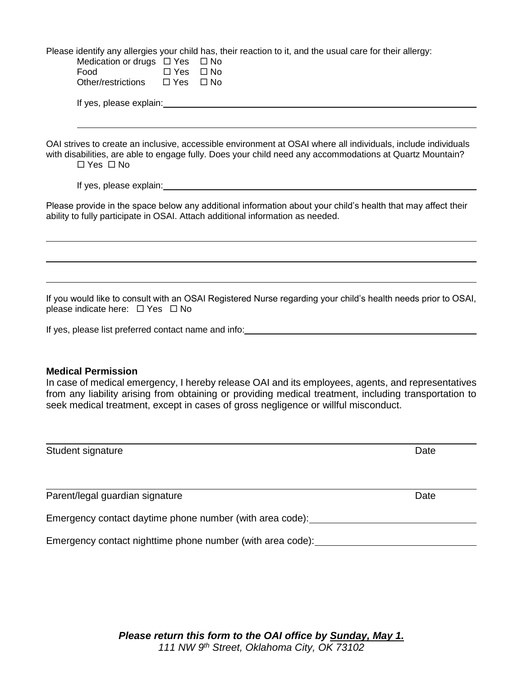Please identify any allergies your child has, their reaction to it, and the usual care for their allergy:

| Medication or drugs $\Box$ Yes $\Box$ No |            |              |                                                                                                               |
|------------------------------------------|------------|--------------|---------------------------------------------------------------------------------------------------------------|
| Food                                     | $\Box$ Yes | $\square$ No |                                                                                                               |
| Other/restrictions $\Box$ Yes            |            | $\square$ No |                                                                                                               |
| If yes, please explain:                  |            |              |                                                                                                               |
|                                          |            |              |                                                                                                               |
|                                          |            |              |                                                                                                               |
|                                          |            |              | OAI strives to create an inclusive, accessible environment at OSAI where all individuals, include individuals |
|                                          |            |              | with disabilities, are able to engage fully. Does your child need any accommodations at Quartz Mountain?      |
| $\Box$ Yes $\Box$ No                     |            |              |                                                                                                               |

If yes, please explain:

Please provide in the space below any additional information about your child's health that may affect their ability to fully participate in OSAI. Attach additional information as needed.

If you would like to consult with an OSAI Registered Nurse regarding your child's health needs prior to OSAI, please indicate here:  $\Box$  Yes  $\Box$  No

If yes, please list preferred contact name and info:

## **Medical Permission**

In case of medical emergency, I hereby release OAI and its employees, agents, and representatives from any liability arising from obtaining or providing medical treatment, including transportation to seek medical treatment, except in cases of gross negligence or willful misconduct.

| Student signature                                          | Date |
|------------------------------------------------------------|------|
|                                                            |      |
| Parent/legal guardian signature                            | Date |
| Emergency contact daytime phone number (with area code):   |      |
| Emergency contact nighttime phone number (with area code): |      |

*Please return this form to the OAI office by Sunday, May 1. 111 NW 9th Street, Oklahoma City, OK 73102*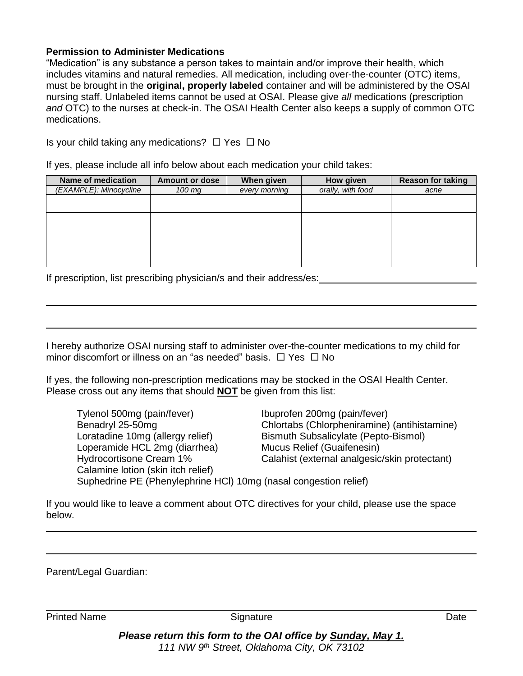## **Permission to Administer Medications**

"Medication" is any substance a person takes to maintain and/or improve their health, which includes vitamins and natural remedies. All medication, including over-the-counter (OTC) items, must be brought in the **original, properly labeled** container and will be administered by the OSAI nursing staff. Unlabeled items cannot be used at OSAI. Please give *all* medications (prescription *and* OTC) to the nurses at check-in. The OSAI Health Center also keeps a supply of common OTC medications.

Is your child taking any medications?  $\Box$  Yes  $\Box$  No

If yes, please include all info below about each medication your child takes:

| Name of medication     | <b>Amount or dose</b> | When given    | How given         | <b>Reason for taking</b> |
|------------------------|-----------------------|---------------|-------------------|--------------------------|
| (EXAMPLE): Minocycline | 100 mg                | every morning | orally, with food | acne                     |
|                        |                       |               |                   |                          |
|                        |                       |               |                   |                          |
|                        |                       |               |                   |                          |
|                        |                       |               |                   |                          |
|                        |                       |               |                   |                          |
|                        |                       |               |                   |                          |
|                        |                       |               |                   |                          |
|                        |                       |               |                   |                          |

If prescription, list prescribing physician/s and their address/es:

I hereby authorize OSAI nursing staff to administer over-the-counter medications to my child for minor discomfort or illness on an "as needed" basis.  $\Box$  Yes  $\Box$  No

If yes, the following non-prescription medications may be stocked in the OSAI Health Center. Please cross out any items that should **NOT** be given from this list:

Tylenol 500mg (pain/fever) Ibuprofen 200mg (pain/fever) Benadryl 25-50mg Chlortabs (Chlorpheniramine) (antihistamine) Loratadine 10mg (allergy relief) Bismuth Subsalicylate (Pepto-Bismol) Loperamide HCL 2mg (diarrhea) Mucus Relief (Guaifenesin) Hydrocortisone Cream 1% Calahist (external analgesic/skin protectant) Calamine lotion (skin itch relief) Suphedrine PE (Phenylephrine HCl) 10mg (nasal congestion relief)

If you would like to leave a comment about OTC directives for your child, please use the space below.

Parent/Legal Guardian:

Printed Name **Signature Signature Signature Date** 

*Please return this form to the OAI office by Sunday, May 1. 111 NW 9th Street, Oklahoma City, OK 73102*